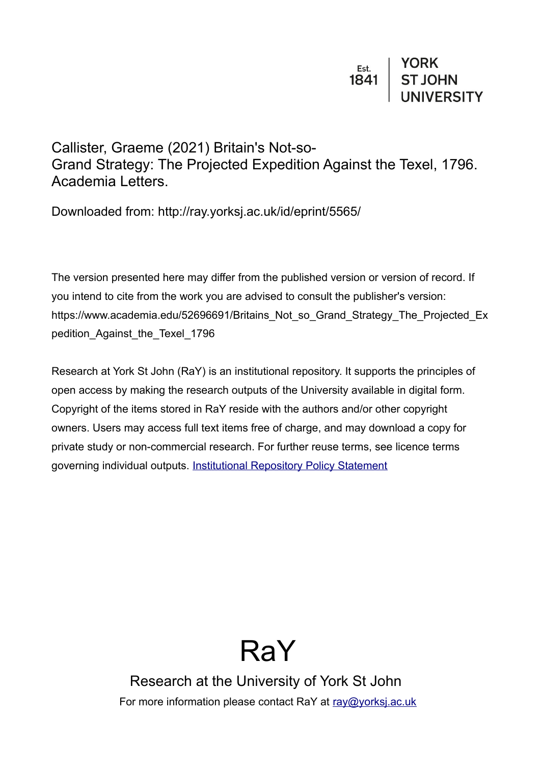Callister, Graeme (2021) Britain's Not-so-Grand Strategy: The Projected Expedition Against the Texel, 1796. Academia Letters.

Downloaded from: http://ray.yorksj.ac.uk/id/eprint/5565/

The version presented here may differ from the published version or version of record. If you intend to cite from the work you are advised to consult the publisher's version: https://www.academia.edu/52696691/Britains\_Not\_so\_Grand\_Strategy\_The\_Projected\_Ex pedition Against the Texel 1796

Research at York St John (RaY) is an institutional repository. It supports the principles of open access by making the research outputs of the University available in digital form. Copyright of the items stored in RaY reside with the authors and/or other copyright owners. Users may access full text items free of charge, and may download a copy for private study or non-commercial research. For further reuse terms, see licence terms governing individual outputs. [Institutional Repository Policy Statement](https://www.yorksj.ac.uk/ils/repository-policies/)



Research at the University of York St John For more information please contact RaY at [ray@yorksj.ac.uk](mailto:ray@yorksj.ac.uk)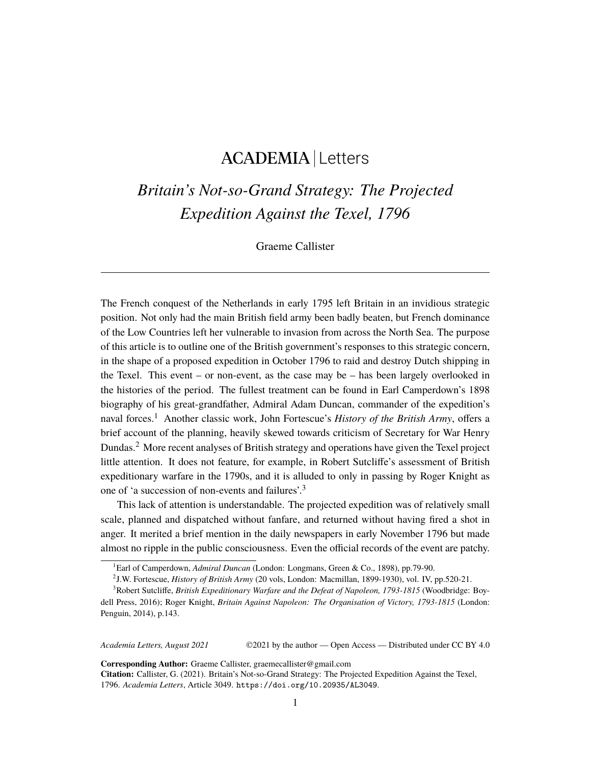## ACADEMIA Letters

## *Britain's Not-so-Grand Strategy: The Projected Expedition Against the Texel, 1796*

Graeme Callister

The French conquest of the Netherlands in early 1795 left Britain in an invidious strategic position. Not only had the main British field army been badly beaten, but French dominance of the Low Countries left her vulnerable to invasion from across the North Sea. The purpose of this article is to outline one of the British government's responses to this strategic concern, in the shape of a proposed expedition in October 1796 to raid and destroy Dutch shipping in the Texel. This event – or non-event, as the case may be – has been largely overlooked in the histories of the period. The fullest treatment can be found in Earl Camperdown's 1898 biography of his great-grandfather, Admiral Adam Duncan, commander of the expedition's naval forces.<sup>[1](#page-1-0)</sup> Another classic work, John Fortescue's *History of the British Army*, offers a brief account of the planning, heavily skewed towards criticism of Secretary for War Henry Dundas.[2](#page-1-1) More recent analyses of British strategy and operations have given the Texel project little attention. It does not feature, for example, in Robert Sutcliffe's assessment of British expeditionary warfare in the 1790s, and it is alluded to only in passing by Roger Knight as one of 'a succession of non-events and failures'.[3](#page-1-2)

This lack of attention is understandable. The projected expedition was of relatively small scale, planned and dispatched without fanfare, and returned without having fired a shot in anger. It merited a brief mention in the daily newspapers in early November 1796 but made almost no ripple in the public consciousness. Even the official records of the event are patchy.

*Academia Letters, August 2021* ©2021 by the author — Open Access — Distributed under CC BY 4.0

**Corresponding Author:** Graeme Callister, graemecallister@gmail.com

**Citation:** Callister, G. (2021). Britain's Not-so-Grand Strategy: The Projected Expedition Against the Texel, 1796. *Academia Letters*, Article 3049. <https://doi.org/10.20935/AL3049>.

<span id="page-1-0"></span><sup>1</sup>Earl of Camperdown, *Admiral Duncan* (London: Longmans, Green & Co., 1898), pp.79-90.

<span id="page-1-2"></span><span id="page-1-1"></span><sup>2</sup> J.W. Fortescue, *History of British Army* (20 vols, London: Macmillan, 1899-1930), vol. IV, pp.520-21.

<sup>3</sup>Robert Sutcliffe, *British Expeditionary Warfare and the Defeat of Napoleon, 1793-1815* (Woodbridge: Boydell Press, 2016); Roger Knight, *Britain Against Napoleon: The Organisation of Victory, 1793-1815* (London: Penguin, 2014), p.143.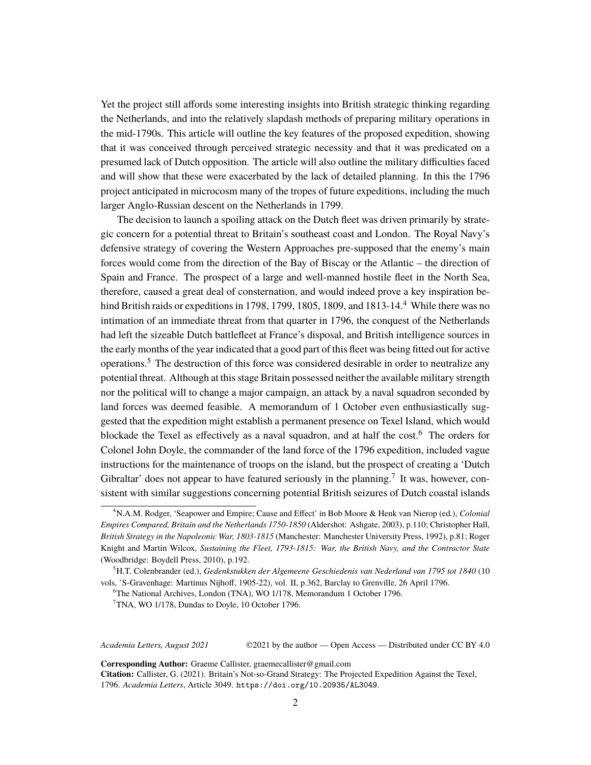Yet the project still affords some interesting insights into British strategic thinking regarding the Netherlands, and into the relatively slapdash methods of preparing military operations in the mid-1790s. This article will outline the key features of the proposed expedition, showing that it was conceived through perceived strategic necessity and that it was predicated on a presumed lack of Dutch opposition. The article will also outline the military difficulties faced and will show that these were exacerbated by the lack of detailed planning. In this the 1796 project anticipated in microcosm many of the tropes of future expeditions, including the much larger Anglo-Russian descent on the Netherlands in 1799.

The decision to launch a spoiling attack on the Dutch fleet was driven primarily by strategic concern for a potential threat to Britain's southeast coast and London. The Royal Navy's defensive strategy of covering the Western Approaches pre-supposed that the enemy's main forces would come from the direction of the Bay of Biscay or the Atlantic – the direction of Spain and France. The prospect of a large and well-manned hostile fleet in the North Sea, therefore, caused a great deal of consternation, and would indeed prove a key inspiration behind British raids or expeditions in 1798, 1799, 1805, 1809, and  $1813-14<sup>4</sup>$  $1813-14<sup>4</sup>$  $1813-14<sup>4</sup>$  While there was no intimation of an immediate threat from that quarter in 1796, the conquest of the Netherlands had left the sizeable Dutch battlefleet at France's disposal, and British intelligence sources in the early months of the year indicated that a good part of this fleet was being fitted out for active operations.[5](#page-2-1) The destruction of this force was considered desirable in order to neutralize any potential threat. Although at this stage Britain possessed neither the available military strength nor the political will to change a major campaign, an attack by a naval squadron seconded by land forces was deemed feasible. A memorandum of 1 October even enthusiastically suggested that the expedition might establish a permanent presence on Texel Island, which would blockade the Texel as effectively as a naval squadron, and at half the cost.[6](#page-2-2) The orders for Colonel John Doyle, the commander of the land force of the 1796 expedition, included vague instructions for the maintenance of troops on the island, but the prospect of creating a 'Dutch Gibraltar' does not appear to have featured seriously in the planning.<sup>[7](#page-2-3)</sup> It was, however, consistent with similar suggestions concerning potential British seizures of Dutch coastal islands

*Academia Letters, August 2021* ©2021 by the author — Open Access — Distributed under CC BY 4.0

**Corresponding Author:** Graeme Callister, graemecallister@gmail.com

**Citation:** Callister, G. (2021). Britain's Not-so-Grand Strategy: The Projected Expedition Against the Texel, 1796. *Academia Letters*, Article 3049. <https://doi.org/10.20935/AL3049>.

<span id="page-2-0"></span><sup>4</sup>N.A.M. Rodger, 'Seapower and Empire; Cause and Effect' in Bob Moore & Henk van Nierop (ed.), *Colonial Empires Compared, Britain and the Netherlands 1750-1850* (Aldershot: Ashgate, 2003), p.110; Christopher Hall, *British Strategy in the Napoleonic War, 1803-1815* (Manchester: Manchester University Press, 1992), p.81; Roger Knight and Martin Wilcox, *Sustaining the Fleet, 1793-1815: War, the British Navy, and the Contractor State* (Woodbridge: Boydell Press, 2010), p.192.

<span id="page-2-1"></span><sup>5</sup>H.T. Colenbrander (ed.), *Gedenkstukken der Algemeene Geschiedenis van Nederland van 1795 tot 1840* (10 vols, 'S-Gravenhage: Martinus Nijhoff, 1905-22), vol. II, p.362, Barclay to Grenville, 26 April 1796.

<span id="page-2-2"></span><sup>6</sup>The National Archives, London (TNA), WO 1/178, Memorandum 1 October 1796.

<span id="page-2-3"></span><sup>&</sup>lt;sup>7</sup>TNA, WO 1/178, Dundas to Doyle, 10 October 1796.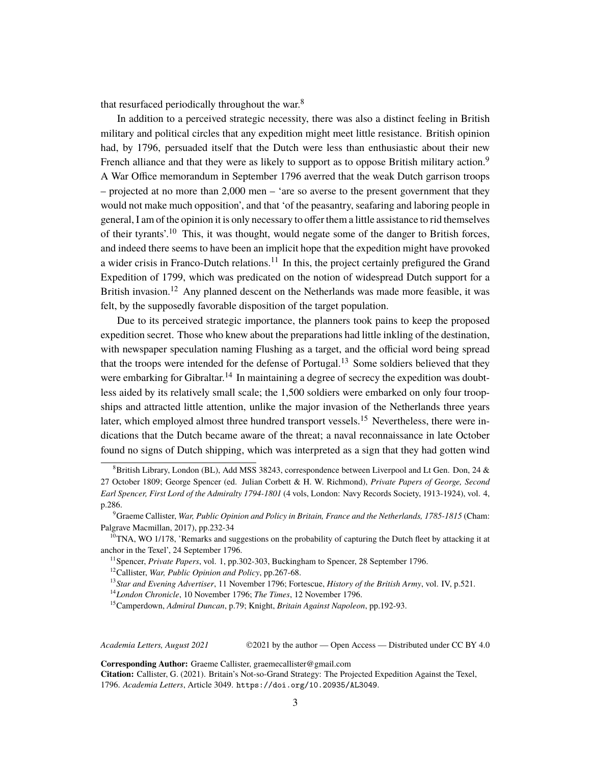that resurfaced periodically throughout the war. $8$ 

In addition to a perceived strategic necessity, there was also a distinct feeling in British military and political circles that any expedition might meet little resistance. British opinion had, by 1796, persuaded itself that the Dutch were less than enthusiastic about their new French alliance and that they were as likely to support as to oppose British military action.<sup>[9](#page-3-1)</sup> A War Office memorandum in September 1796 averred that the weak Dutch garrison troops – projected at no more than 2,000 men – 'are so averse to the present government that they would not make much opposition', and that 'of the peasantry, seafaring and laboring people in general, I am of the opinion it is only necessary to offer them a little assistance to rid themselves of their tyrants'.[10](#page-3-2) This, it was thought, would negate some of the danger to British forces, and indeed there seems to have been an implicit hope that the expedition might have provoked a wider crisis in Franco-Dutch relations.<sup>[11](#page-3-3)</sup> In this, the project certainly prefigured the Grand Expedition of 1799, which was predicated on the notion of widespread Dutch support for a British invasion.<sup>[12](#page-3-4)</sup> Any planned descent on the Netherlands was made more feasible, it was felt, by the supposedly favorable disposition of the target population.

Due to its perceived strategic importance, the planners took pains to keep the proposed expedition secret. Those who knew about the preparations had little inkling of the destination, with newspaper speculation naming Flushing as a target, and the official word being spread that the troops were intended for the defense of Portugal.<sup>[13](#page-3-5)</sup> Some soldiers believed that they were embarking for Gibraltar.<sup>[14](#page-3-6)</sup> In maintaining a degree of secrecy the expedition was doubtless aided by its relatively small scale; the 1,500 soldiers were embarked on only four troopships and attracted little attention, unlike the major invasion of the Netherlands three years later, which employed almost three hundred transport vessels.<sup>[15](#page-3-7)</sup> Nevertheless, there were indications that the Dutch became aware of the threat; a naval reconnaissance in late October found no signs of Dutch shipping, which was interpreted as a sign that they had gotten wind

*Academia Letters, August 2021* ©2021 by the author — Open Access — Distributed under CC BY 4.0

**Corresponding Author:** Graeme Callister, graemecallister@gmail.com

<span id="page-3-0"></span> $8B$ ritish Library, London (BL), Add MSS 38243, correspondence between Liverpool and Lt Gen. Don, 24 & 27 October 1809; George Spencer (ed. Julian Corbett & H. W. Richmond), *Private Papers of George, Second Earl Spencer, First Lord of the Admiralty 1794-1801* (4 vols, London: Navy Records Society, 1913-1924), vol. 4, p.286.

<span id="page-3-1"></span><sup>9</sup>Graeme Callister, *War, Public Opinion and Policy in Britain, France and the Netherlands, 1785-1815* (Cham: Palgrave Macmillan, 2017), pp.232-34

<span id="page-3-2"></span> $10$ TNA, WO 1/178, 'Remarks and suggestions on the probability of capturing the Dutch fleet by attacking it at anchor in the Texel', 24 September 1796.

<span id="page-3-3"></span><sup>11</sup>Spencer, *Private Papers*, vol. 1, pp.302-303, Buckingham to Spencer, 28 September 1796.

<span id="page-3-4"></span><sup>12</sup>Callister, *War, Public Opinion and Policy*, pp.267-68.

<span id="page-3-5"></span><sup>13</sup>*Star and Evening Advertiser*, 11 November 1796; Fortescue, *History of the British Army*, vol. IV, p.521.

<span id="page-3-6"></span><sup>14</sup>*London Chronicle*, 10 November 1796; *The Times*, 12 November 1796.

<span id="page-3-7"></span><sup>15</sup>Camperdown, *Admiral Duncan*, p.79; Knight, *Britain Against Napoleon*, pp.192-93.

**Citation:** Callister, G. (2021). Britain's Not-so-Grand Strategy: The Projected Expedition Against the Texel, 1796. *Academia Letters*, Article 3049. <https://doi.org/10.20935/AL3049>.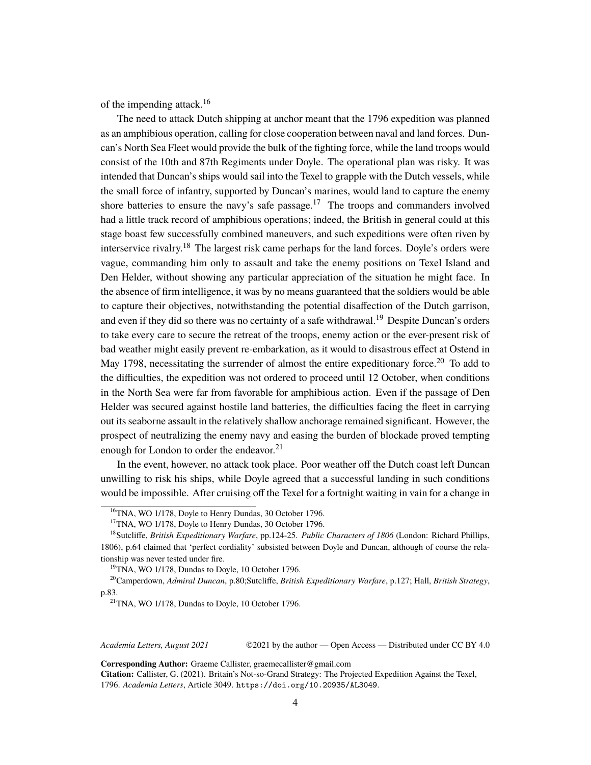of the impending attack.<sup>[16](#page-4-0)</sup>

The need to attack Dutch shipping at anchor meant that the 1796 expedition was planned as an amphibious operation, calling for close cooperation between naval and land forces. Duncan's North Sea Fleet would provide the bulk of the fighting force, while the land troops would consist of the 10th and 87th Regiments under Doyle. The operational plan was risky. It was intended that Duncan's ships would sail into the Texel to grapple with the Dutch vessels, while the small force of infantry, supported by Duncan's marines, would land to capture the enemy shore batteries to ensure the navy's safe passage.<sup>[17](#page-4-1)</sup> The troops and commanders involved had a little track record of amphibious operations; indeed, the British in general could at this stage boast few successfully combined maneuvers, and such expeditions were often riven by interservice rivalry.<sup>[18](#page-4-2)</sup> The largest risk came perhaps for the land forces. Doyle's orders were vague, commanding him only to assault and take the enemy positions on Texel Island and Den Helder, without showing any particular appreciation of the situation he might face. In the absence of firm intelligence, it was by no means guaranteed that the soldiers would be able to capture their objectives, notwithstanding the potential disaffection of the Dutch garrison, and even if they did so there was no certainty of a safe withdrawal.<sup>[19](#page-4-3)</sup> Despite Duncan's orders to take every care to secure the retreat of the troops, enemy action or the ever-present risk of bad weather might easily prevent re-embarkation, as it would to disastrous effect at Ostend in May 1798, necessitating the surrender of almost the entire expeditionary force.<sup>[20](#page-4-4)</sup> To add to the difficulties, the expedition was not ordered to proceed until 12 October, when conditions in the North Sea were far from favorable for amphibious action. Even if the passage of Den Helder was secured against hostile land batteries, the difficulties facing the fleet in carrying out its seaborne assault in the relatively shallow anchorage remained significant. However, the prospect of neutralizing the enemy navy and easing the burden of blockade proved tempting enough for London to order the endeavor.<sup>[21](#page-4-5)</sup>

In the event, however, no attack took place. Poor weather off the Dutch coast left Duncan unwilling to risk his ships, while Doyle agreed that a successful landing in such conditions would be impossible. After cruising off the Texel for a fortnight waiting in vain for a change in

*Academia Letters, August 2021* ©2021 by the author — Open Access — Distributed under CC BY 4.0

**Corresponding Author:** Graeme Callister, graemecallister@gmail.com

<span id="page-4-0"></span><sup>&</sup>lt;sup>16</sup>TNA, WO 1/178, Doyle to Henry Dundas, 30 October 1796.

<span id="page-4-2"></span><span id="page-4-1"></span><sup>&</sup>lt;sup>17</sup>TNA, WO 1/178, Doyle to Henry Dundas, 30 October 1796.

<sup>18</sup>Sutcliffe, *British Expeditionary Warfare*, pp.124-25. *Public Characters of 1806* (London: Richard Phillips, 1806), p.64 claimed that 'perfect cordiality' subsisted between Doyle and Duncan, although of course the relationship was never tested under fire.

<span id="page-4-4"></span><span id="page-4-3"></span><sup>&</sup>lt;sup>19</sup>TNA, WO 1/178, Dundas to Doyle, 10 October 1796.

<sup>20</sup>Camperdown, *Admiral Duncan*, p.80;Sutcliffe, *British Expeditionary Warfare*, p.127; Hall, *British Strategy*, p.83.

<span id="page-4-5"></span> $21$ TNA, WO 1/178, Dundas to Doyle, 10 October 1796.

**Citation:** Callister, G. (2021). Britain's Not-so-Grand Strategy: The Projected Expedition Against the Texel, 1796. *Academia Letters*, Article 3049. <https://doi.org/10.20935/AL3049>.